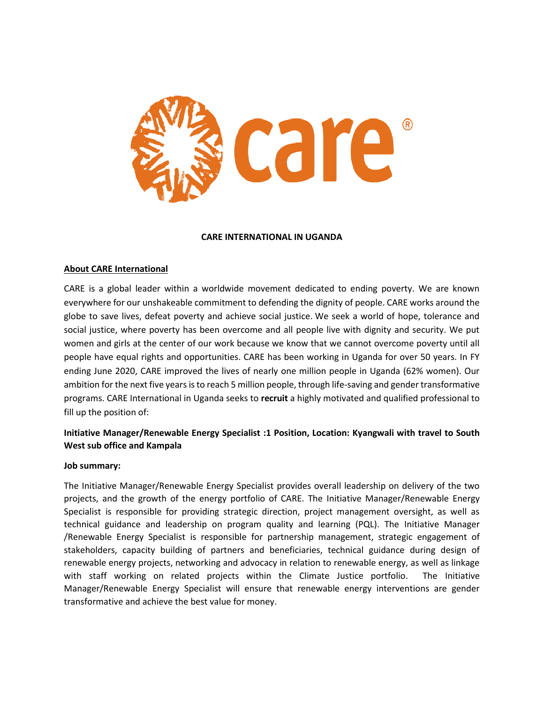

#### **CARE INTERNATIONAL IN UGANDA**

#### **About CARE International**

CARE is a global leader within a worldwide movement dedicated to ending poverty. We are known everywhere for our unshakeable commitment to defending the dignity of people. CARE works around the globe to save lives, defeat poverty and achieve social justice. We seek a world of hope, tolerance and social justice, where poverty has been overcome and all people live with dignity and security. We put women and girls at the center of our work because we know that we cannot overcome poverty until all people have equal rights and opportunities. CARE has been working in Uganda for over 50 years. In FY ending June 2020, CARE improved the lives of nearly one million people in Uganda (62% women). Our ambition for the next five years is to reach 5 million people, through life-saving and gender transformative programs. CARE International in Uganda seeks to **recruit** a highly motivated and qualified professional to fill up the position of:

# **Initiative Manager/Renewable Energy Specialist :1 Position, Location: Kyangwali with travel to South West sub office and Kampala**

#### **Job summary:**

The Initiative Manager/Renewable Energy Specialist provides overall leadership on delivery of the two projects, and the growth of the energy portfolio of CARE. The Initiative Manager/Renewable Energy Specialist is responsible for providing strategic direction, project management oversight, as well as technical guidance and leadership on program quality and learning (PQL). The Initiative Manager /Renewable Energy Specialist is responsible for partnership management, strategic engagement of stakeholders, capacity building of partners and beneficiaries, technical guidance during design of renewable energy projects, networking and advocacy in relation to renewable energy, as well as linkage with staff working on related projects within the Climate Justice portfolio. The Initiative Manager/Renewable Energy Specialist will ensure that renewable energy interventions are gender transformative and achieve the best value for money.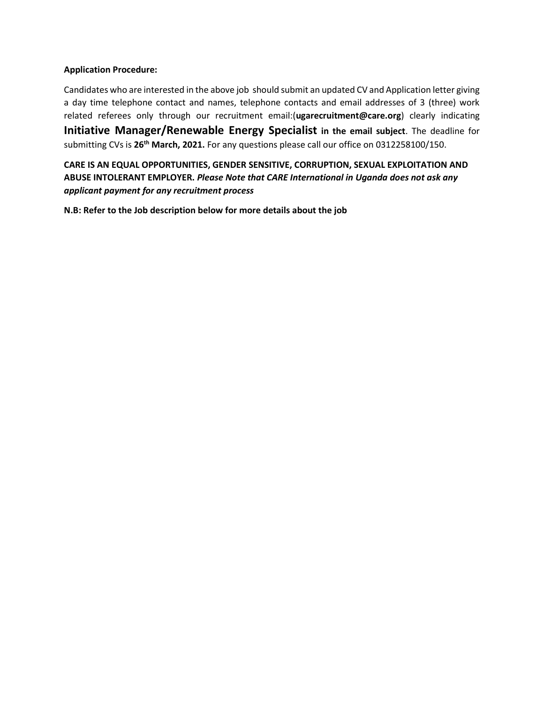### **Application Procedure:**

Candidates who are interested in the above job should submit an updated CV and Application letter giving a day time telephone contact and names, telephone contacts and email addresses of 3 (three) work related referees only through our recruitment email:(**[ugarecruitment@care.org](mailto:ugarecruitment@care.org)**) clearly indicating **Initiative Manager/Renewable Energy Specialist in the email subject**. The deadline for submitting CVs is **26th March, 2021.** For any questions please call our office on 0312258100/150.

**CARE IS AN EQUAL OPPORTUNITIES, GENDER SENSITIVE, CORRUPTION, SEXUAL EXPLOITATION AND ABUSE INTOLERANT EMPLOYER.** *Please Note that CARE International in Uganda does not ask any applicant payment for any recruitment process*

**N.B: Refer to the Job description below for more details about the job**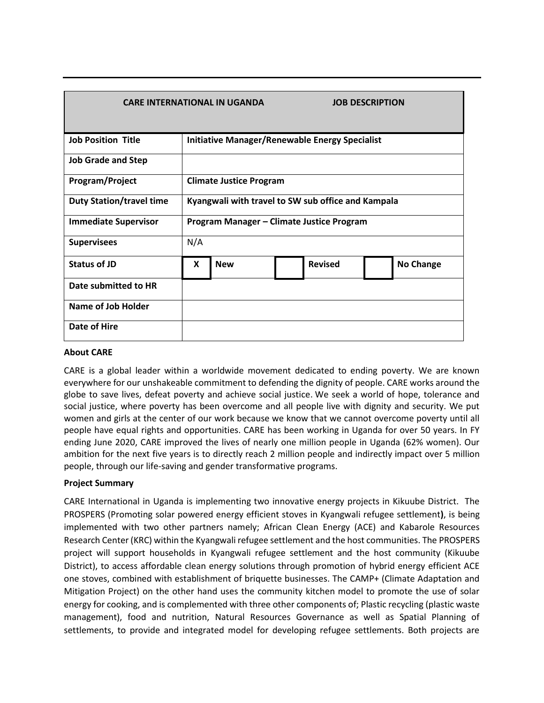| <b>CARE INTERNATIONAL IN UGANDA</b><br><b>JOB DESCRIPTION</b> |                                                       |            |                |                  |
|---------------------------------------------------------------|-------------------------------------------------------|------------|----------------|------------------|
| <b>Job Position Title</b>                                     | <b>Initiative Manager/Renewable Energy Specialist</b> |            |                |                  |
| <b>Job Grade and Step</b>                                     |                                                       |            |                |                  |
| Program/Project                                               | <b>Climate Justice Program</b>                        |            |                |                  |
| <b>Duty Station/travel time</b>                               | Kyangwali with travel to SW sub office and Kampala    |            |                |                  |
| <b>Immediate Supervisor</b>                                   | Program Manager - Climate Justice Program             |            |                |                  |
| <b>Supervisees</b>                                            | N/A                                                   |            |                |                  |
| <b>Status of JD</b>                                           | X                                                     | <b>New</b> | <b>Revised</b> | <b>No Change</b> |
| Date submitted to HR                                          |                                                       |            |                |                  |
| <b>Name of Job Holder</b>                                     |                                                       |            |                |                  |
| <b>Date of Hire</b>                                           |                                                       |            |                |                  |

### **About CARE**

CARE is a global leader within a worldwide movement dedicated to ending poverty. We are known everywhere for our unshakeable commitment to defending the dignity of people. CARE works around the globe to save lives, defeat poverty and achieve social justice. We seek a world of hope, tolerance and social justice, where poverty has been overcome and all people live with dignity and security. We put women and girls at the center of our work because we know that we cannot overcome poverty until all people have equal rights and opportunities. CARE has been working in Uganda for over 50 years. In FY ending June 2020, CARE improved the lives of nearly one million people in Uganda (62% women). Our ambition for the next five years is to directly reach 2 million people and indirectly impact over 5 million people, through our life-saving and gender transformative programs.

### **Project Summary**

CARE International in Uganda is implementing two innovative energy projects in Kikuube District. The PROSPERS (Promoting solar powered energy efficient stoves in Kyangwali refugee settlement**)**, is being implemented with two other partners namely; African Clean Energy (ACE) and Kabarole Resources Research Center (KRC) within the Kyangwali refugee settlement and the host communities. The PROSPERS project will support households in Kyangwali refugee settlement and the host community (Kikuube District), to access affordable clean energy solutions through promotion of hybrid energy efficient ACE one stoves, combined with establishment of briquette businesses. The CAMP+ (Climate Adaptation and Mitigation Project) on the other hand uses the community kitchen model to promote the use of solar energy for cooking, and is complemented with three other components of; Plastic recycling (plastic waste management), food and nutrition, Natural Resources Governance as well as Spatial Planning of settlements, to provide and integrated model for developing refugee settlements. Both projects are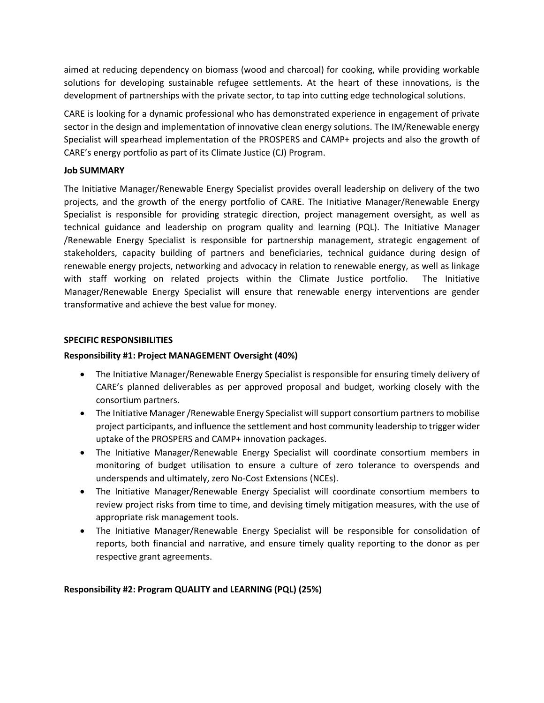aimed at reducing dependency on biomass (wood and charcoal) for cooking, while providing workable solutions for developing sustainable refugee settlements. At the heart of these innovations, is the development of partnerships with the private sector, to tap into cutting edge technological solutions.

CARE is looking for a dynamic professional who has demonstrated experience in engagement of private sector in the design and implementation of innovative clean energy solutions. The IM/Renewable energy Specialist will spearhead implementation of the PROSPERS and CAMP+ projects and also the growth of CARE's energy portfolio as part of its Climate Justice (CJ) Program.

### **Job SUMMARY**

The Initiative Manager/Renewable Energy Specialist provides overall leadership on delivery of the two projects, and the growth of the energy portfolio of CARE. The Initiative Manager/Renewable Energy Specialist is responsible for providing strategic direction, project management oversight, as well as technical guidance and leadership on program quality and learning (PQL). The Initiative Manager /Renewable Energy Specialist is responsible for partnership management, strategic engagement of stakeholders, capacity building of partners and beneficiaries, technical guidance during design of renewable energy projects, networking and advocacy in relation to renewable energy, as well as linkage with staff working on related projects within the Climate Justice portfolio. The Initiative Manager/Renewable Energy Specialist will ensure that renewable energy interventions are gender transformative and achieve the best value for money.

### **SPECIFIC RESPONSIBILITIES**

### **Responsibility #1: Project MANAGEMENT Oversight (40%)**

- The Initiative Manager/Renewable Energy Specialist is responsible for ensuring timely delivery of CARE's planned deliverables as per approved proposal and budget, working closely with the consortium partners.
- The Initiative Manager /Renewable Energy Specialist will support consortium partners to mobilise project participants, and influence the settlement and host community leadership to trigger wider uptake of the PROSPERS and CAMP+ innovation packages.
- The Initiative Manager/Renewable Energy Specialist will coordinate consortium members in monitoring of budget utilisation to ensure a culture of zero tolerance to overspends and underspends and ultimately, zero No-Cost Extensions (NCEs).
- The Initiative Manager/Renewable Energy Specialist will coordinate consortium members to review project risks from time to time, and devising timely mitigation measures, with the use of appropriate risk management tools.
- The Initiative Manager/Renewable Energy Specialist will be responsible for consolidation of reports, both financial and narrative, and ensure timely quality reporting to the donor as per respective grant agreements.

# **Responsibility #2: Program QUALITY and LEARNING (PQL) (25%)**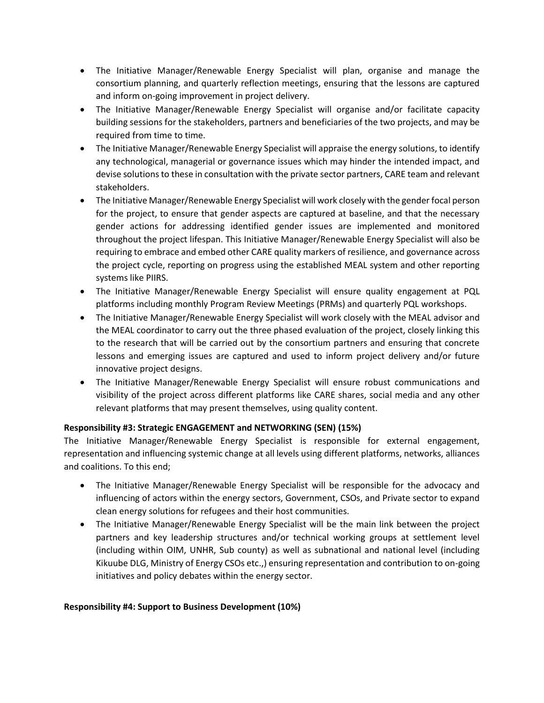- The Initiative Manager/Renewable Energy Specialist will plan, organise and manage the consortium planning, and quarterly reflection meetings, ensuring that the lessons are captured and inform on-going improvement in project delivery.
- The Initiative Manager/Renewable Energy Specialist will organise and/or facilitate capacity building sessions for the stakeholders, partners and beneficiaries of the two projects, and may be required from time to time.
- The Initiative Manager/Renewable Energy Specialist will appraise the energy solutions, to identify any technological, managerial or governance issues which may hinder the intended impact, and devise solutions to these in consultation with the private sector partners, CARE team and relevant stakeholders.
- The Initiative Manager/Renewable Energy Specialist will work closely with the gender focal person for the project, to ensure that gender aspects are captured at baseline, and that the necessary gender actions for addressing identified gender issues are implemented and monitored throughout the project lifespan. This Initiative Manager/Renewable Energy Specialist will also be requiring to embrace and embed other CARE quality markers of resilience, and governance across the project cycle, reporting on progress using the established MEAL system and other reporting systems like PIIRS.
- The Initiative Manager/Renewable Energy Specialist will ensure quality engagement at PQL platforms including monthly Program Review Meetings (PRMs) and quarterly PQL workshops.
- The Initiative Manager/Renewable Energy Specialist will work closely with the MEAL advisor and the MEAL coordinator to carry out the three phased evaluation of the project, closely linking this to the research that will be carried out by the consortium partners and ensuring that concrete lessons and emerging issues are captured and used to inform project delivery and/or future innovative project designs.
- The Initiative Manager/Renewable Energy Specialist will ensure robust communications and visibility of the project across different platforms like CARE shares, social media and any other relevant platforms that may present themselves, using quality content.

# **Responsibility #3: Strategic ENGAGEMENT and NETWORKING (SEN) (15%)**

The Initiative Manager/Renewable Energy Specialist is responsible for external engagement, representation and influencing systemic change at all levels using different platforms, networks, alliances and coalitions. To this end;

- The Initiative Manager/Renewable Energy Specialist will be responsible for the advocacy and influencing of actors within the energy sectors, Government, CSOs, and Private sector to expand clean energy solutions for refugees and their host communities.
- The Initiative Manager/Renewable Energy Specialist will be the main link between the project partners and key leadership structures and/or technical working groups at settlement level (including within OIM, UNHR, Sub county) as well as subnational and national level (including Kikuube DLG, Ministry of Energy CSOs etc.,) ensuring representation and contribution to on-going initiatives and policy debates within the energy sector.

# **Responsibility #4: Support to Business Development (10%)**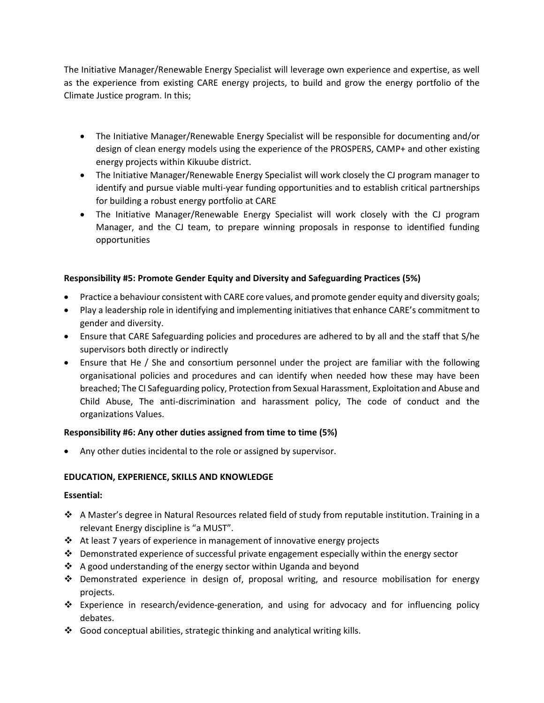The Initiative Manager/Renewable Energy Specialist will leverage own experience and expertise, as well as the experience from existing CARE energy projects, to build and grow the energy portfolio of the Climate Justice program. In this;

- The Initiative Manager/Renewable Energy Specialist will be responsible for documenting and/or design of clean energy models using the experience of the PROSPERS, CAMP+ and other existing energy projects within Kikuube district.
- The Initiative Manager/Renewable Energy Specialist will work closely the CJ program manager to identify and pursue viable multi-year funding opportunities and to establish critical partnerships for building a robust energy portfolio at CARE
- The Initiative Manager/Renewable Energy Specialist will work closely with the CJ program Manager, and the CJ team, to prepare winning proposals in response to identified funding opportunities

# **Responsibility #5: Promote Gender Equity and Diversity and Safeguarding Practices (5%)**

- Practice a behaviour consistent with CARE core values, and promote gender equity and diversity goals;
- Play a leadership role in identifying and implementing initiatives that enhance CARE's commitment to gender and diversity.
- Ensure that CARE Safeguarding policies and procedures are adhered to by all and the staff that S/he supervisors both directly or indirectly
- Ensure that He / She and consortium personnel under the project are familiar with the following organisational policies and procedures and can identify when needed how these may have been breached; The CI Safeguarding policy, Protection from Sexual Harassment, Exploitation and Abuse and Child Abuse, The anti-discrimination and harassment policy, The code of conduct and the organizations Values.

### **Responsibility #6: Any other duties assigned from time to time (5%)**

Any other duties incidental to the role or assigned by supervisor.

### **EDUCATION, EXPERIENCE, SKILLS AND KNOWLEDGE**

### **Essential:**

- A Master's degree in Natural Resources related field of study from reputable institution. Training in a relevant Energy discipline is "a MUST".
- At least 7 years of experience in management of innovative energy projects
- $\cdot \cdot$  Demonstrated experience of successful private engagement especially within the energy sector
- A good understanding of the energy sector within Uganda and beyond
- $\div$  Demonstrated experience in design of, proposal writing, and resource mobilisation for energy projects.
- Experience in research/evidence-generation, and using for advocacy and for influencing policy debates.
- $\cdot$  Good conceptual abilities, strategic thinking and analytical writing kills.